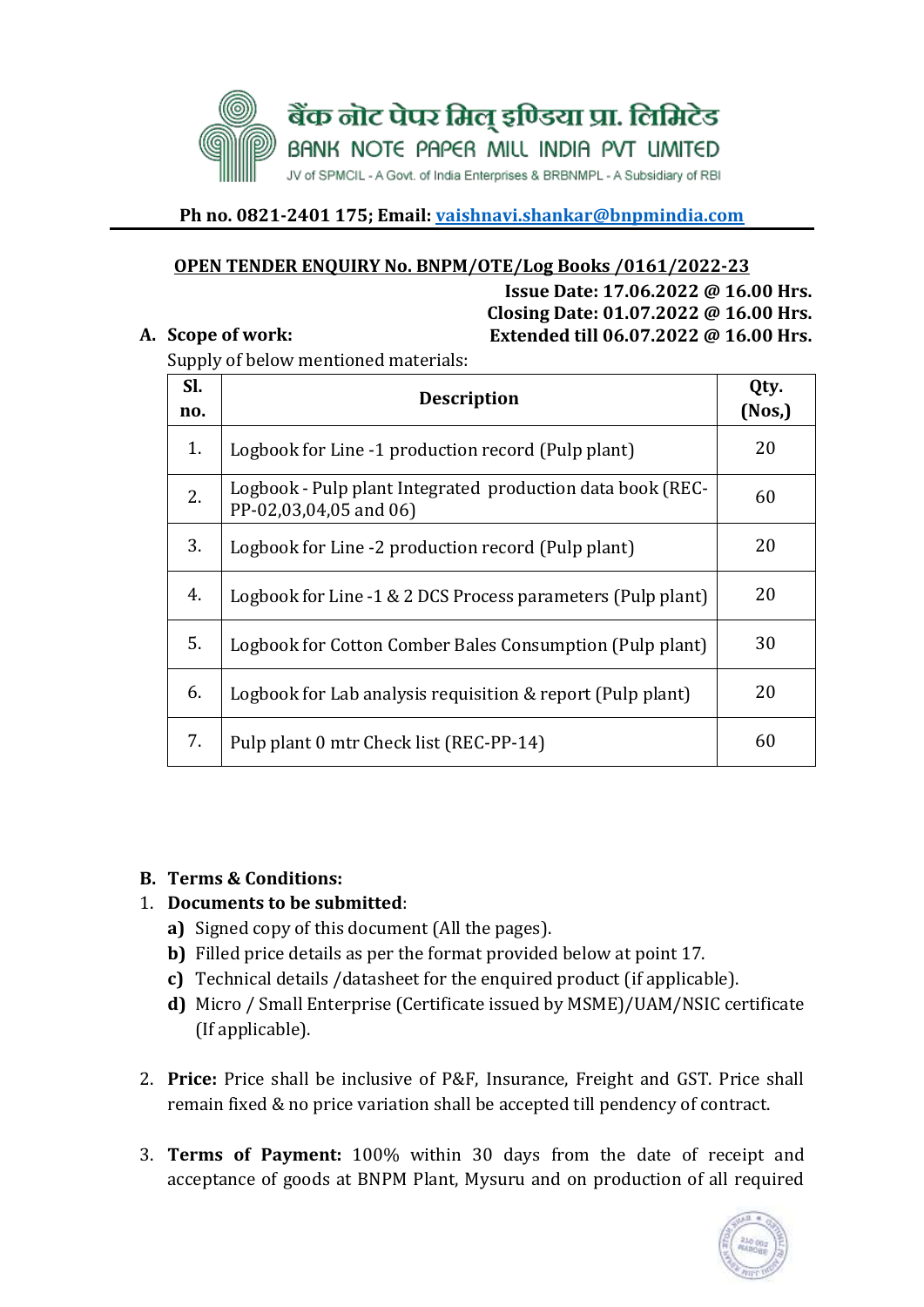

### **Ph no. 0821-2401 175; Email: [vaishnavi.shankar@bnpmindia.com](mailto:vaishnavi.shankar@bnpmindia.com)**

#### **OPEN TENDER ENQUIRY No. BNPM/OTE/Log Books /0161/2022-23**

**Issue Date: 17.06.2022 @ 16.00 Hrs. Closing Date: 01.07.2022 @ 16.00 Hrs. A. Scope of work: Extended till 06.07.2022 @ 16.00 Hrs.** 

Supply of below mentioned materials:

| SI.<br>no. | <b>Description</b>                                                                   | Qty.<br>(Nos) |
|------------|--------------------------------------------------------------------------------------|---------------|
| 1.         | Logbook for Line -1 production record (Pulp plant)                                   | 20            |
| 2.         | Logbook - Pulp plant Integrated production data book (REC-<br>PP-02,03,04,05 and 06) | 60            |
| 3.         | Logbook for Line -2 production record (Pulp plant)                                   | 20            |
| 4.         | Logbook for Line -1 & 2 DCS Process parameters (Pulp plant)                          | 20            |
| 5.         | Logbook for Cotton Comber Bales Consumption (Pulp plant)                             | 30            |
| 6.         | Logbook for Lab analysis requisition & report (Pulp plant)                           | 20            |
| 7.         | Pulp plant 0 mtr Check list (REC-PP-14)                                              | 60            |

#### **B. Terms & Conditions:**

### 1. **Documents to be submitted**:

- **a)** Signed copy of this document (All the pages).
- **b)** Filled price details as per the format provided below at point 17.
- **c)** Technical details /datasheet for the enquired product (if applicable).
- **d)** Micro / Small Enterprise (Certificate issued by MSME)/UAM/NSIC certificate (If applicable).
- 2. **Price:** Price shall be inclusive of P&F, Insurance, Freight and GST. Price shall remain fixed & no price variation shall be accepted till pendency of contract.
- 3. **Terms of Payment:** 100% within 30 days from the date of receipt and acceptance of goods at BNPM Plant, Mysuru and on production of all required

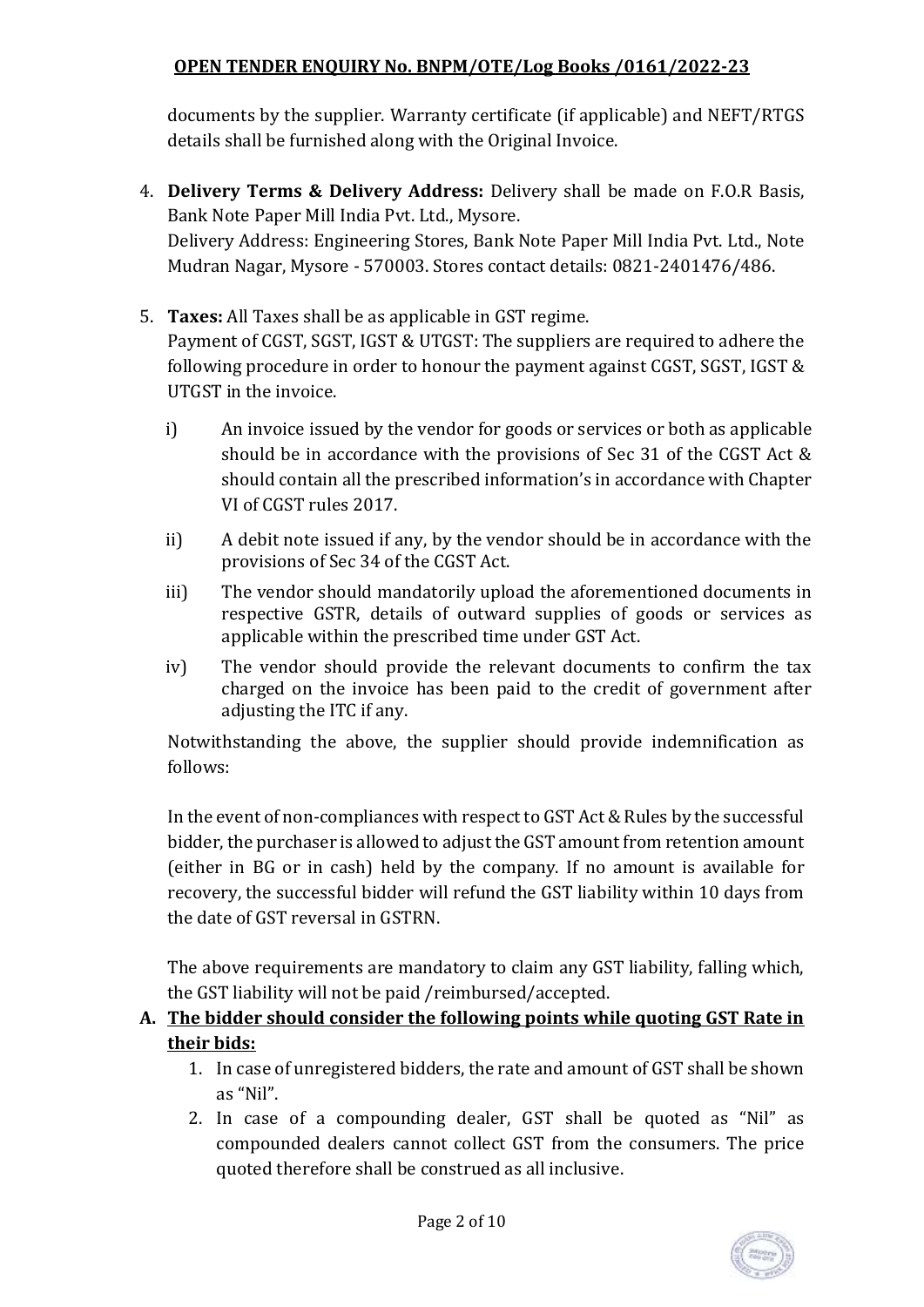documents by the supplier. Warranty certificate (if applicable) and NEFT/RTGS details shall be furnished along with the Original Invoice.

- 4. **Delivery Terms & Delivery Address:** Delivery shall be made on F.O.R Basis, Bank Note Paper Mill India Pvt. Ltd., Mysore. Delivery Address: Engineering Stores, Bank Note Paper Mill India Pvt. Ltd., Note Mudran Nagar, Mysore - 570003. Stores contact details: 0821-2401476/486.
- 5. **Taxes:** All Taxes shall be as applicable in GST regime. Payment of CGST, SGST, IGST & UTGST: The suppliers are required to adhere the following procedure in order to honour the payment against CGST, SGST, IGST & UTGST in the invoice.
	- i) An invoice issued by the vendor for goods or services or both as applicable should be in accordance with the provisions of Sec 31 of the CGST Act & should contain all the prescribed information's in accordance with Chapter VI of CGST rules 2017.
	- ii) A debit note issued if any, by the vendor should be in accordance with the provisions of Sec 34 of the CGST Act.
	- iii) The vendor should mandatorily upload the aforementioned documents in respective GSTR, details of outward supplies of goods or services as applicable within the prescribed time under GST Act.
	- iv) The vendor should provide the relevant documents to confirm the tax charged on the invoice has been paid to the credit of government after adjusting the ITC if any.

Notwithstanding the above, the supplier should provide indemnification as follows:

In the event of non-compliances with respect to GST Act & Rules by the successful bidder, the purchaser is allowed to adjust the GST amount from retention amount (either in BG or in cash) held by the company. If no amount is available for recovery, the successful bidder will refund the GST liability within 10 days from the date of GST reversal in GSTRN.

The above requirements are mandatory to claim any GST liability, falling which, the GST liability will not be paid /reimbursed/accepted.

# **A. The bidder should consider the following points while quoting GST Rate in their bids:**

- 1. In case of unregistered bidders, the rate and amount of GST shall be shown as "Nil".
- 2. In case of a compounding dealer, GST shall be quoted as "Nil" as compounded dealers cannot collect GST from the consumers. The price quoted therefore shall be construed as all inclusive.

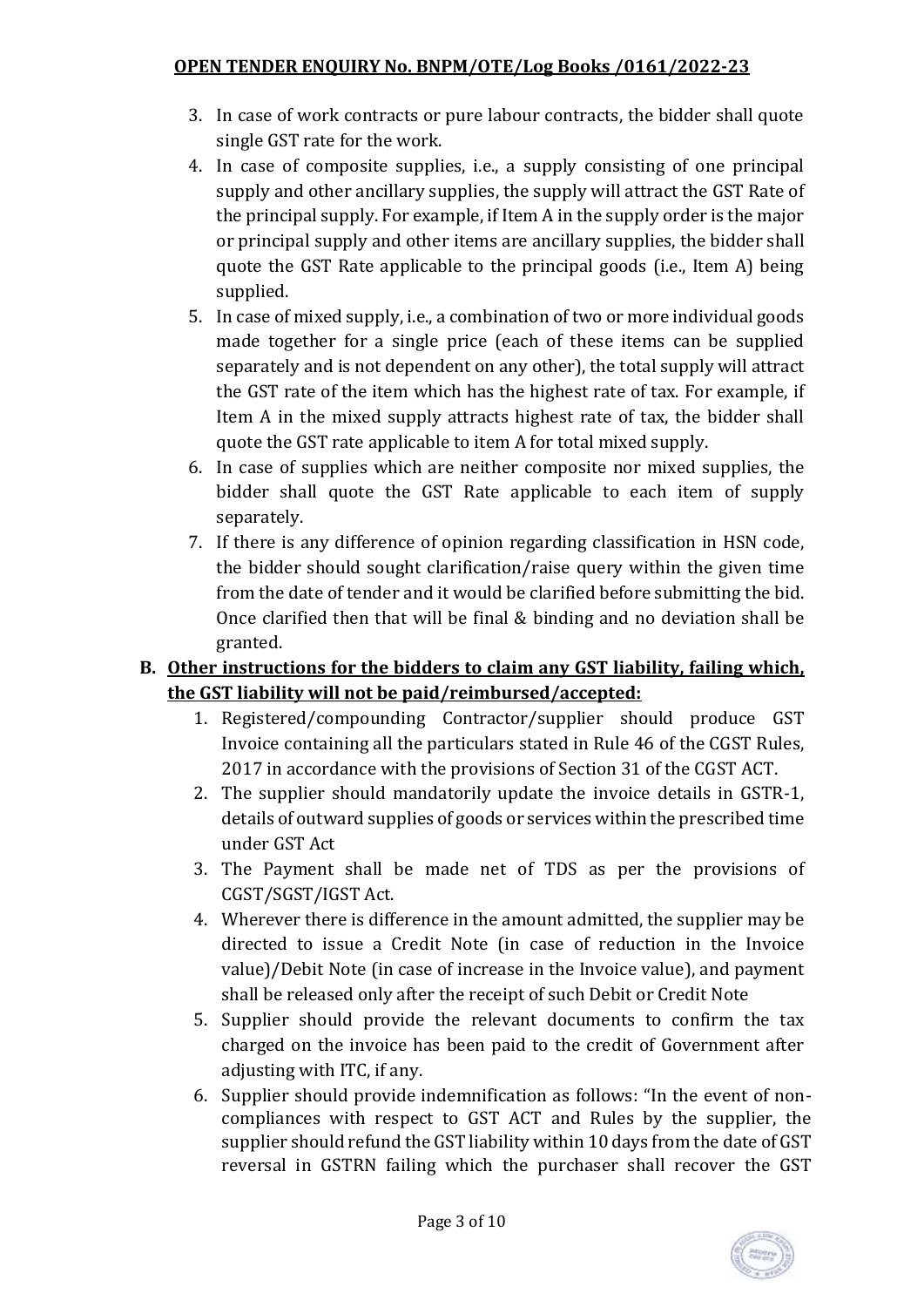- 3. In case of work contracts or pure labour contracts, the bidder shall quote single GST rate for the work.
- 4. In case of composite supplies, i.e., a supply consisting of one principal supply and other ancillary supplies, the supply will attract the GST Rate of the principal supply. For example, if Item A in the supply order is the major or principal supply and other items are ancillary supplies, the bidder shall quote the GST Rate applicable to the principal goods (i.e., Item A) being supplied.
- 5. In case of mixed supply, i.e., a combination of two or more individual goods made together for a single price (each of these items can be supplied separately and is not dependent on any other), the total supply will attract the GST rate of the item which has the highest rate of tax. For example, if Item A in the mixed supply attracts highest rate of tax, the bidder shall quote the GST rate applicable to item A for total mixed supply.
- 6. In case of supplies which are neither composite nor mixed supplies, the bidder shall quote the GST Rate applicable to each item of supply separately.
- 7. If there is any difference of opinion regarding classification in HSN code, the bidder should sought clarification/raise query within the given time from the date of tender and it would be clarified before submitting the bid. Once clarified then that will be final & binding and no deviation shall be granted.

# **B. Other instructions for the bidders to claim any GST liability, failing which, the GST liability will not be paid/reimbursed/accepted:**

- 1. Registered/compounding Contractor/supplier should produce GST Invoice containing all the particulars stated in Rule 46 of the CGST Rules, 2017 in accordance with the provisions of Section 31 of the CGST ACT.
- 2. The supplier should mandatorily update the invoice details in GSTR-1, details of outward supplies of goods or services within the prescribed time under GST Act
- 3. The Payment shall be made net of TDS as per the provisions of CGST/SGST/IGST Act.
- 4. Wherever there is difference in the amount admitted, the supplier may be directed to issue a Credit Note (in case of reduction in the Invoice value)/Debit Note (in case of increase in the Invoice value), and payment shall be released only after the receipt of such Debit or Credit Note
- 5. Supplier should provide the relevant documents to confirm the tax charged on the invoice has been paid to the credit of Government after adjusting with ITC, if any.
- 6. Supplier should provide indemnification as follows: "In the event of noncompliances with respect to GST ACT and Rules by the supplier, the supplier should refund the GST liability within 10 days from the date of GST reversal in GSTRN failing which the purchaser shall recover the GST

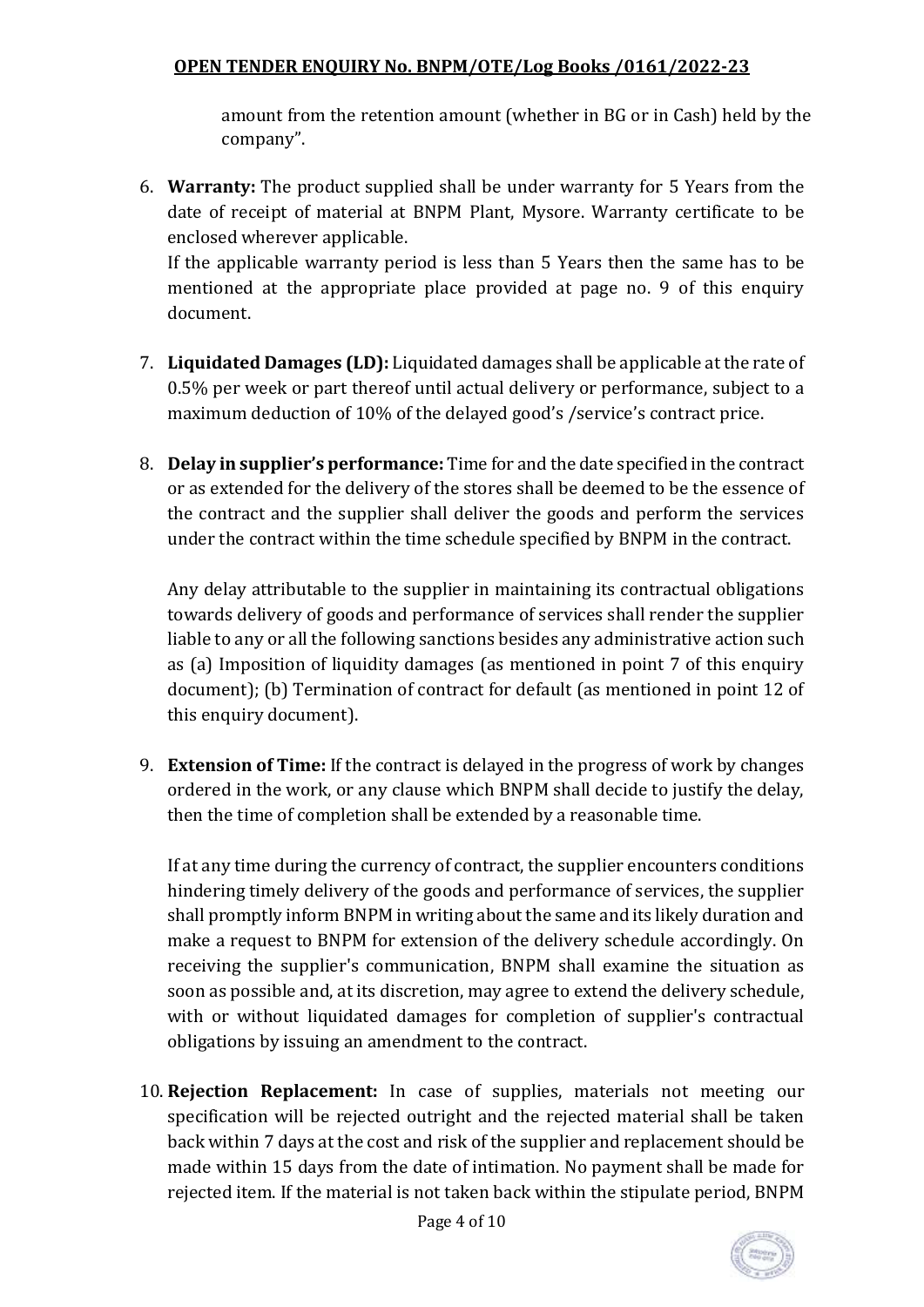amount from the retention amount (whether in BG or in Cash) held by the company".

6. **Warranty:** The product supplied shall be under warranty for 5 Years from the date of receipt of material at BNPM Plant, Mysore. Warranty certificate to be enclosed wherever applicable.

If the applicable warranty period is less than 5 Years then the same has to be mentioned at the appropriate place provided at page no. 9 of this enquiry document.

- 7. **Liquidated Damages (LD):** Liquidated damages shall be applicable at the rate of 0.5% per week or part thereof until actual delivery or performance, subject to a maximum deduction of 10% of the delayed good's /service's contract price.
- 8. **Delay in supplier's performance:** Time for and the date specified in the contract or as extended for the delivery of the stores shall be deemed to be the essence of the contract and the supplier shall deliver the goods and perform the services under the contract within the time schedule specified by BNPM in the contract.

Any delay attributable to the supplier in maintaining its contractual obligations towards delivery of goods and performance of services shall render the supplier liable to any or all the following sanctions besides any administrative action such as (a) Imposition of liquidity damages (as mentioned in point 7 of this enquiry document); (b) Termination of contract for default (as mentioned in point 12 of this enquiry document).

9. **Extension of Time:** If the contract is delayed in the progress of work by changes ordered in the work, or any clause which BNPM shall decide to justify the delay, then the time of completion shall be extended by a reasonable time.

If at any time during the currency of contract, the supplier encounters conditions hindering timely delivery of the goods and performance of services, the supplier shall promptly inform BNPM in writing about the same and its likely duration and make a request to BNPM for extension of the delivery schedule accordingly. On receiving the supplier's communication, BNPM shall examine the situation as soon as possible and, at its discretion, may agree to extend the delivery schedule, with or without liquidated damages for completion of supplier's contractual obligations by issuing an amendment to the contract.

10. **Rejection Replacement:** In case of supplies, materials not meeting our specification will be rejected outright and the rejected material shall be taken back within 7 days at the cost and risk of the supplier and replacement should be made within 15 days from the date of intimation. No payment shall be made for rejected item. If the material is not taken back within the stipulate period, BNPM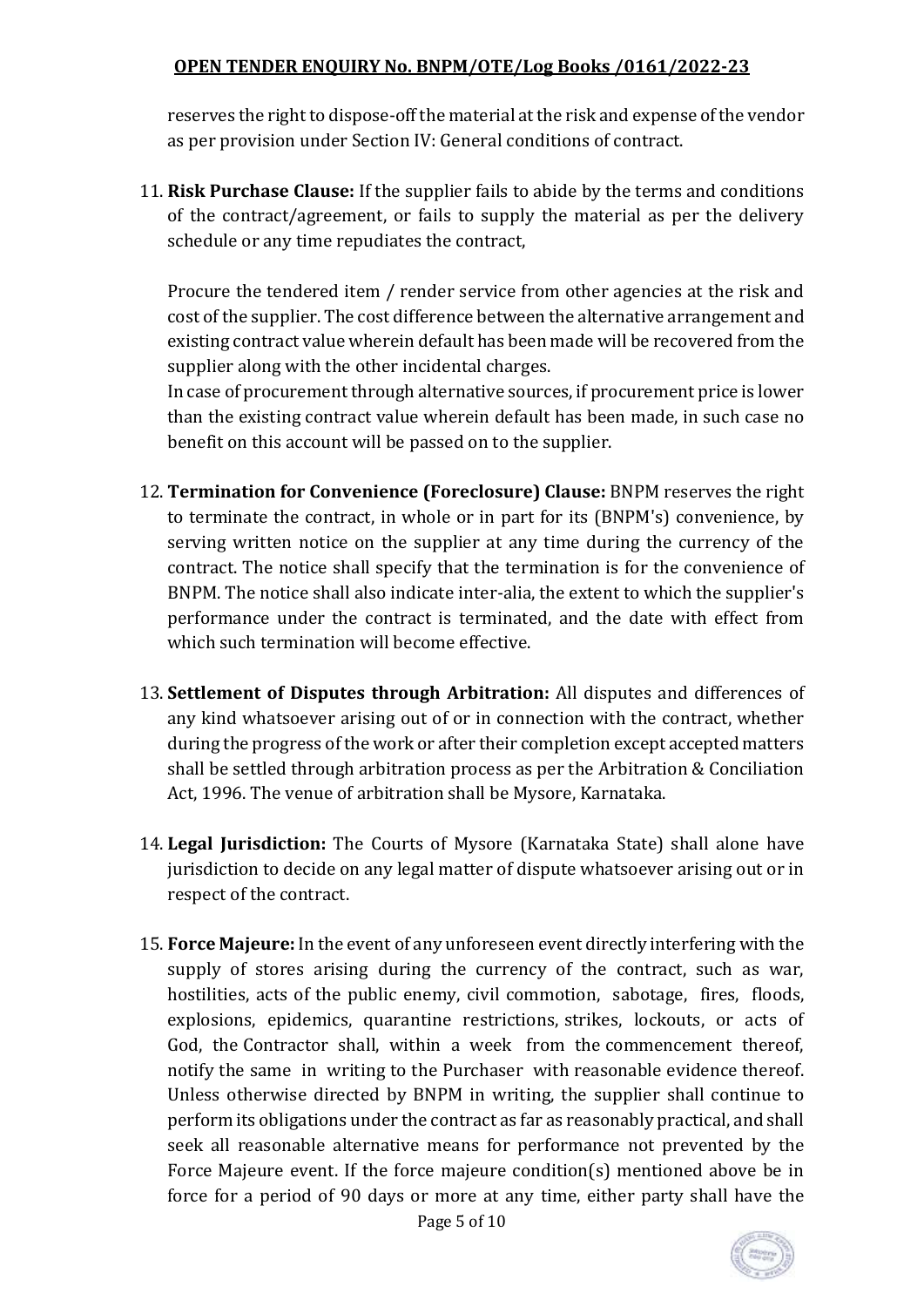reserves the right to dispose-off the material at the risk and expense of the vendor as per provision under Section IV: General conditions of contract.

11. **Risk Purchase Clause:** If the supplier fails to abide by the terms and conditions of the contract/agreement, or fails to supply the material as per the delivery schedule or any time repudiates the contract,

Procure the tendered item / render service from other agencies at the risk and cost of the supplier. The cost difference between the alternative arrangement and existing contract value wherein default has been made will be recovered from the supplier along with the other incidental charges.

In case of procurement through alternative sources, if procurement price is lower than the existing contract value wherein default has been made, in such case no benefit on this account will be passed on to the supplier.

- 12. **Termination for Convenience (Foreclosure) Clause:** BNPM reserves the right to terminate the contract, in whole or in part for its (BNPM's) convenience, by serving written notice on the supplier at any time during the currency of the contract. The notice shall specify that the termination is for the convenience of BNPM. The notice shall also indicate inter-alia, the extent to which the supplier's performance under the contract is terminated, and the date with effect from which such termination will become effective.
- 13. **Settlement of Disputes through Arbitration:** All disputes and differences of any kind whatsoever arising out of or in connection with the contract, whether during the progress of the work or after their completion except accepted matters shall be settled through arbitration process as per the Arbitration & Conciliation Act, 1996. The venue of arbitration shall be Mysore, Karnataka.
- 14. **Legal Jurisdiction:** The Courts of Mysore (Karnataka State) shall alone have jurisdiction to decide on any legal matter of dispute whatsoever arising out or in respect of the contract.
- 15. **Force Majeure:** In the event of any unforeseen event directly interfering with the supply of stores arising during the currency of the contract, such as war, hostilities, acts of the public enemy, civil commotion, sabotage, fires, floods, explosions, epidemics, quarantine restrictions, strikes, lockouts, or acts of God, the Contractor shall, within a week from the commencement thereof, notify the same in writing to the Purchaser with reasonable evidence thereof. Unless otherwise directed by BNPM in writing, the supplier shall continue to perform its obligations under the contract as far as reasonably practical, and shall seek all reasonable alternative means for performance not prevented by the Force Majeure event. If the force majeure condition(s) mentioned above be in force for a period of 90 days or more at any time, either party shall have the

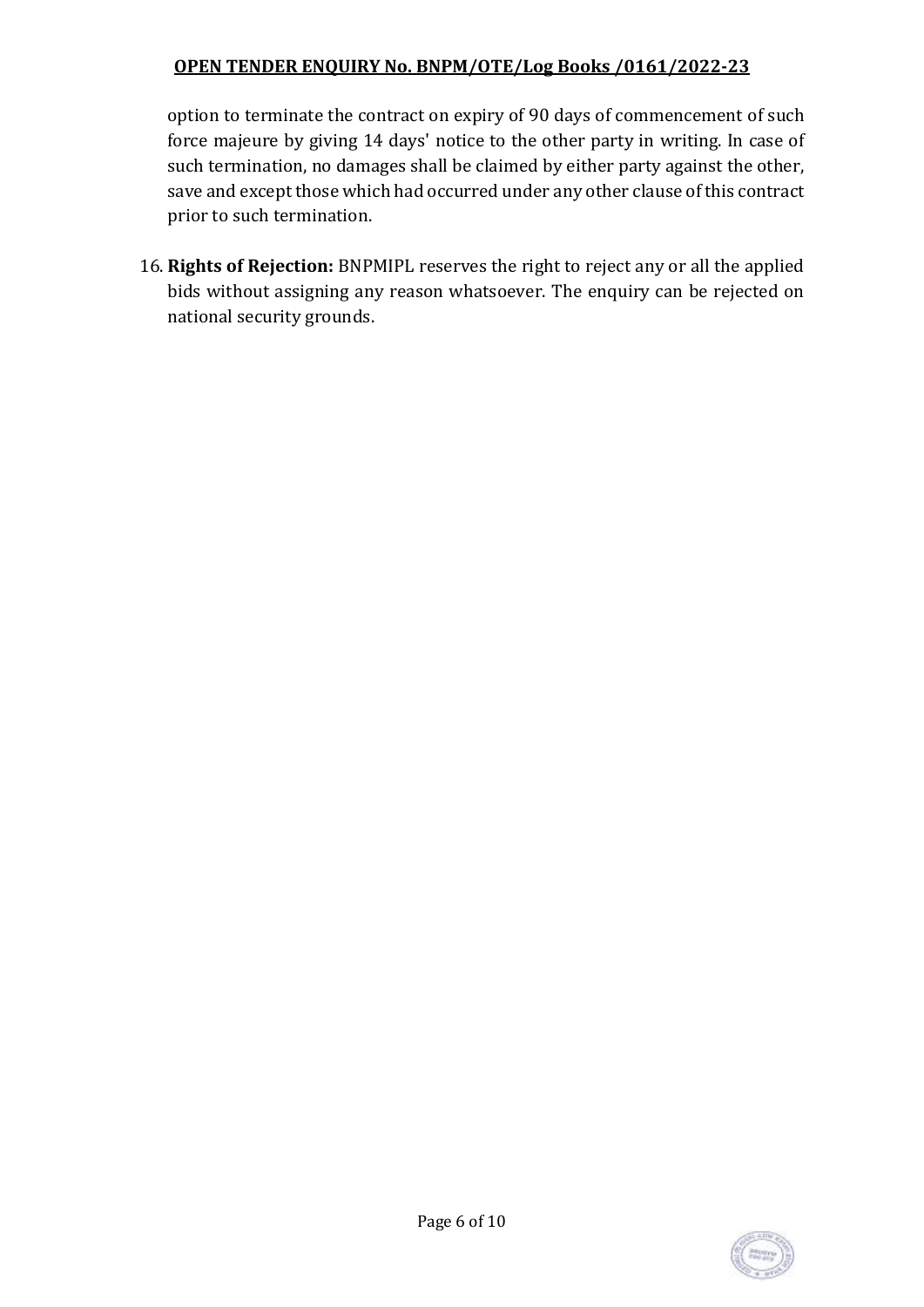option to terminate the contract on expiry of 90 days of commencement of such force majeure by giving 14 days' notice to the other party in writing. In case of such termination, no damages shall be claimed by either party against the other, save and except those which had occurred under any other clause of this contract prior to such termination.

16. **Rights of Rejection:** BNPMIPL reserves the right to reject any or all the applied bids without assigning any reason whatsoever. The enquiry can be rejected on national security grounds.

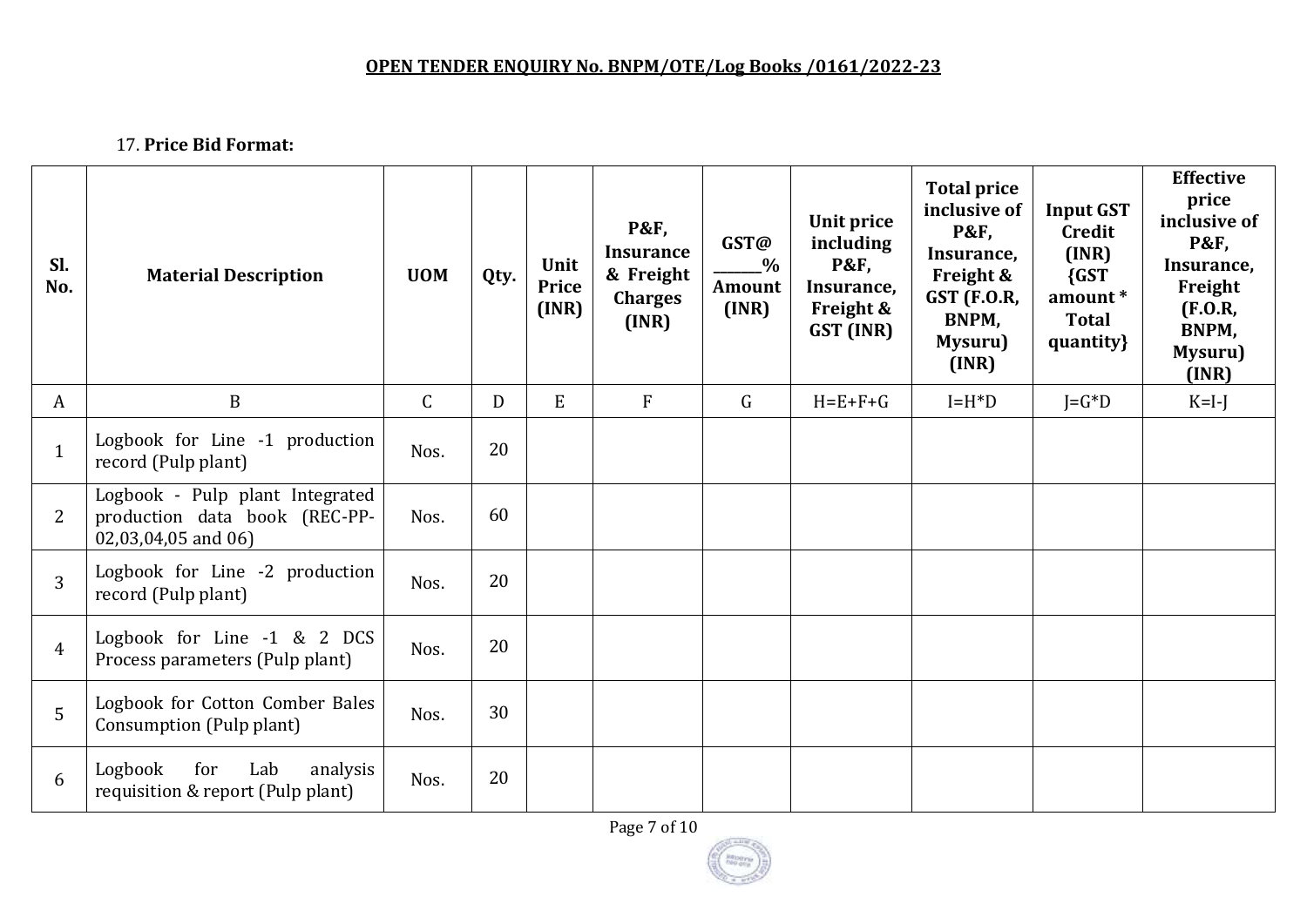17. **Price Bid Format:** 

| Sl.<br>No.     | <b>Material Description</b>                                                             | <b>UOM</b>   | Qty. | Unit<br>Price<br>(INR) | <b>P&amp;F,</b><br><b>Insurance</b><br>& Freight<br><b>Charges</b><br>(INR) | GST@<br>$\frac{0}{0}$<br>Amount<br>(INR) | Unit price<br>including<br><b>P&amp;F,</b><br>Insurance,<br>Freight &<br>GST (INR) | <b>Total price</b><br>inclusive of<br><b>P&amp;F,</b><br>Insurance,<br>Freight &<br><b>GST (F.O.R,</b><br>BNPM,<br>Mysuru)<br>(INR) | <b>Input GST</b><br>Credit<br>(INR)<br>${GST}$<br>amount*<br><b>Total</b><br>quantity} | <b>Effective</b><br>price<br>inclusive of<br><b>P&amp;F,</b><br>Insurance,<br>Freight<br>(F.0.R,<br>BNPM,<br>Mysuru)<br>(INR) |
|----------------|-----------------------------------------------------------------------------------------|--------------|------|------------------------|-----------------------------------------------------------------------------|------------------------------------------|------------------------------------------------------------------------------------|-------------------------------------------------------------------------------------------------------------------------------------|----------------------------------------------------------------------------------------|-------------------------------------------------------------------------------------------------------------------------------|
| A              | $\mathbf B$                                                                             | $\mathsf{C}$ | D    | E                      | $\overline{F}$                                                              | $\mathsf{G}$                             | $H = E + F + G$                                                                    | $I=H^*D$                                                                                                                            | $J = G^*D$                                                                             | $K=I-J$                                                                                                                       |
| $\mathbf{1}$   | Logbook for Line -1 production<br>record (Pulp plant)                                   | Nos.         | 20   |                        |                                                                             |                                          |                                                                                    |                                                                                                                                     |                                                                                        |                                                                                                                               |
| $\overline{2}$ | Logbook - Pulp plant Integrated<br>production data book (REC-PP-<br>02,03,04,05 and 06) | Nos.         | 60   |                        |                                                                             |                                          |                                                                                    |                                                                                                                                     |                                                                                        |                                                                                                                               |
| 3              | Logbook for Line -2 production<br>record (Pulp plant)                                   | Nos.         | 20   |                        |                                                                             |                                          |                                                                                    |                                                                                                                                     |                                                                                        |                                                                                                                               |
| $\overline{4}$ | Logbook for Line -1 & 2 DCS<br>Process parameters (Pulp plant)                          | Nos.         | 20   |                        |                                                                             |                                          |                                                                                    |                                                                                                                                     |                                                                                        |                                                                                                                               |
| $\overline{5}$ | Logbook for Cotton Comber Bales<br>Consumption (Pulp plant)                             | Nos.         | 30   |                        |                                                                             |                                          |                                                                                    |                                                                                                                                     |                                                                                        |                                                                                                                               |
| 6              | for<br>Lab<br>Logbook<br>analysis<br>requisition & report (Pulp plant)                  | Nos.         | 20   |                        |                                                                             |                                          |                                                                                    |                                                                                                                                     |                                                                                        |                                                                                                                               |

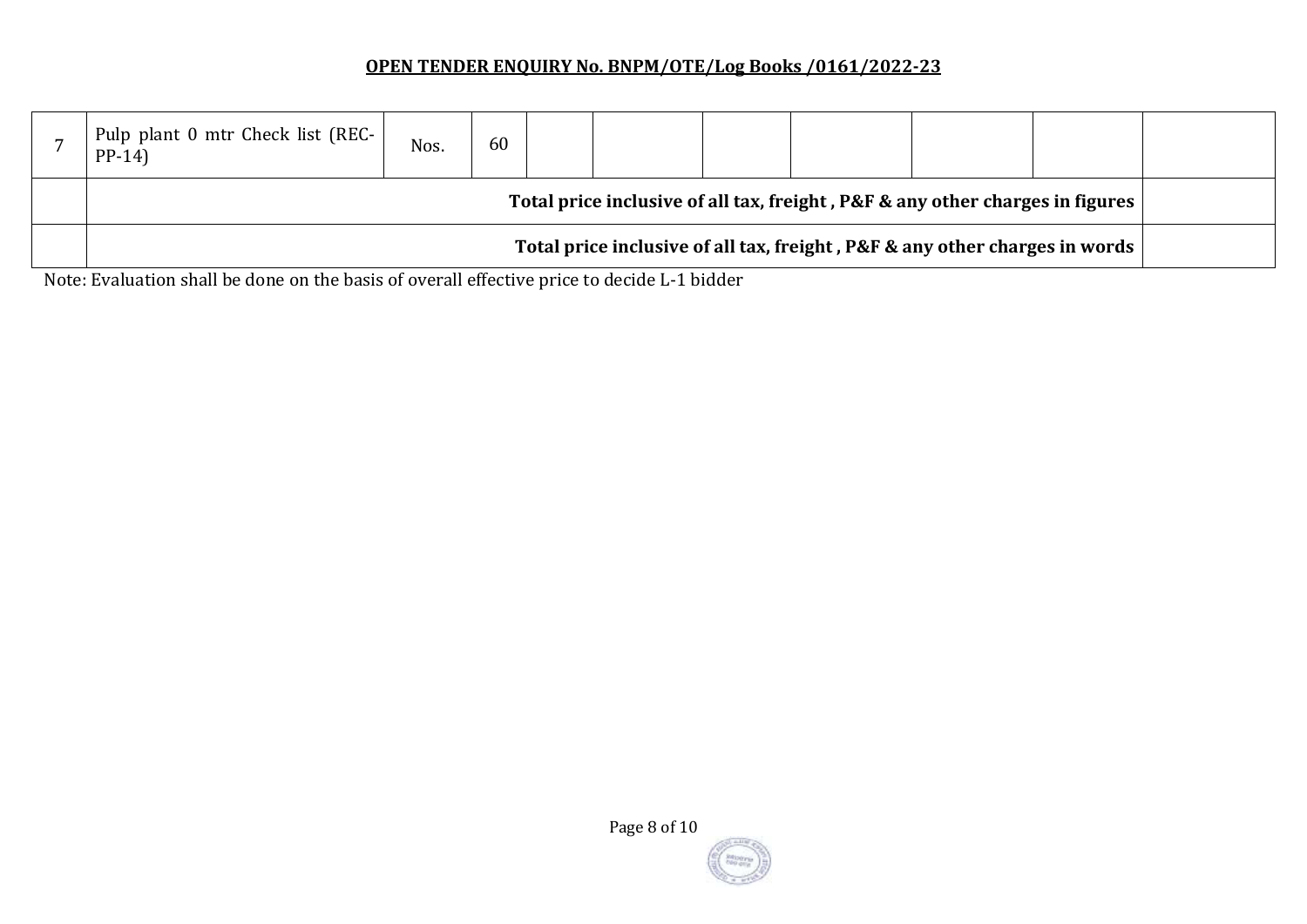| Pulp plant 0 mtr Check list (REC-<br>$PP-14$                                         | Nos. | 60 |  |  |  |  |  |  |  |
|--------------------------------------------------------------------------------------|------|----|--|--|--|--|--|--|--|
| Total price inclusive of all tax, freight, P&F & any other charges in figures        |      |    |  |  |  |  |  |  |  |
| Total price inclusive of all tax, freight, P&F & any other charges in words<br>_____ |      |    |  |  |  |  |  |  |  |

Note: Evaluation shall be done on the basis of overall effective price to decide L-1 bidder

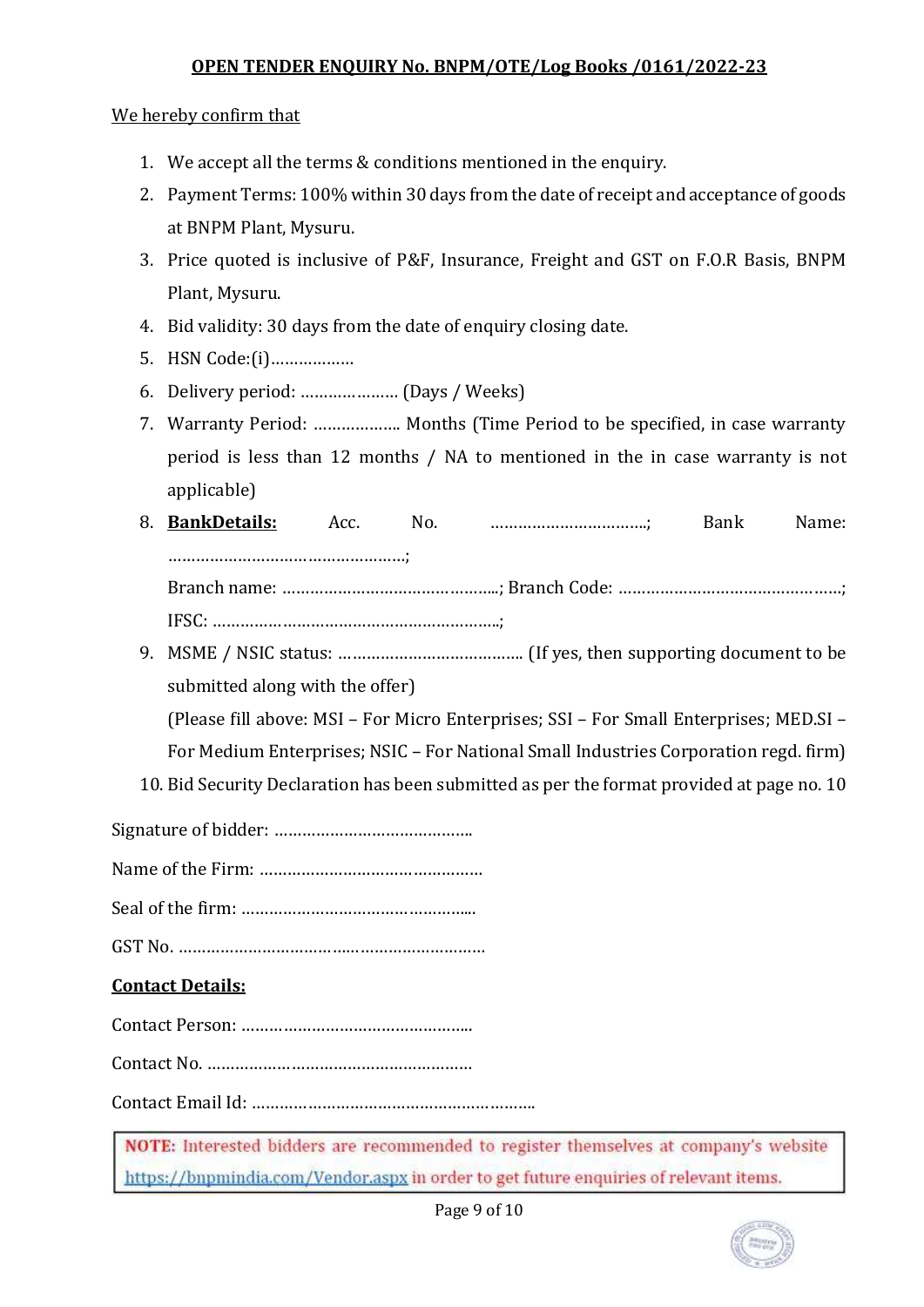We hereby confirm that

- 1. We accept all the terms & conditions mentioned in the enquiry.
- 2. Payment Terms: 100% within 30 days from the date of receipt and acceptance of goods at BNPM Plant, Mysuru.
- 3. Price quoted is inclusive of P&F, Insurance, Freight and GST on F.O.R Basis, BNPM Plant, Mysuru.
- 4. Bid validity: 30 days from the date of enquiry closing date.
- 5. HSN Code:(i)………………
- 6. Delivery period: ………………… (Days / Weeks)
- 7. Warranty Period: ………………. Months (Time Period to be specified, in case warranty period is less than 12 months / NA to mentioned in the in case warranty is not applicable)
- 8. **BankDetails:** Acc. No. …………………………….; Bank Name: ……………………………………………; Branch name: ………………………………………..; Branch Code: …………………………………………;
	- IFSC: ……………………………………………………..;
- 9. MSME / NSIC status: …………………………………. (If yes, then supporting document to be submitted along with the offer)

(Please fill above: MSI – For Micro Enterprises; SSI – For Small Enterprises; MED.SI –

For Medium Enterprises; NSIC – For National Small Industries Corporation regd. firm)

10. Bid Security Declaration has been submitted as per the format provided at page no. 10

Signature of bidder: …………………………………….

Name of the Firm: …………………………………………

Seal of the firm: …………………………………………...

GST No. …………………………………………………………

# **Contact Details:**

Contact Person: …………………………………………..

Contact No. …………………………………………………

Contact Email Id: …………………………………………………….

NOTE: Interested bidders are recommended to register themselves at company's website https://bnpmindia.com/Vendor.aspx in order to get future enquiries of relevant items.

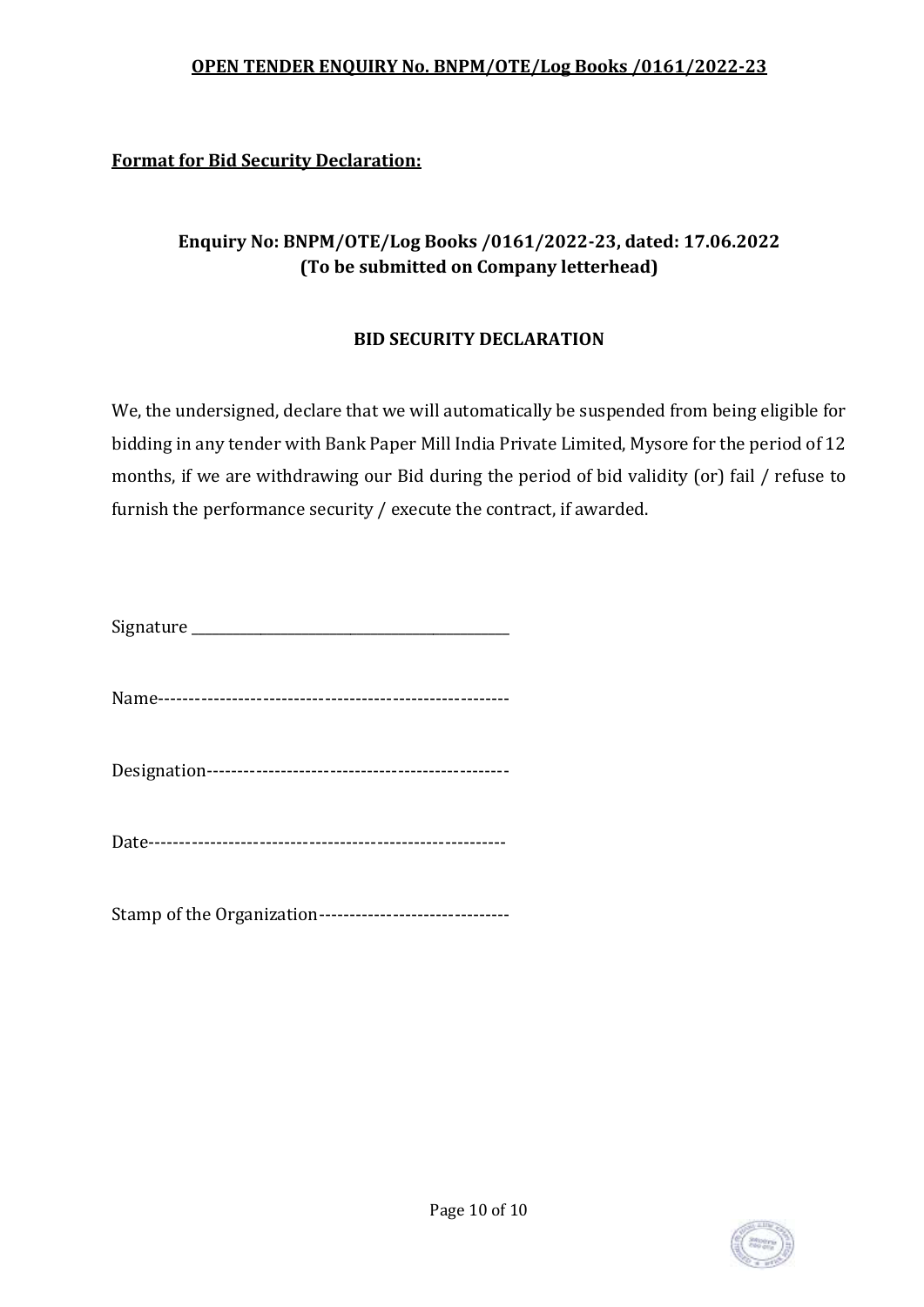# **Format for Bid Security Declaration:**

# **Enquiry No: BNPM/OTE/Log Books /0161/2022-23, dated: 17.06.2022 (To be submitted on Company letterhead)**

#### **BID SECURITY DECLARATION**

We, the undersigned, declare that we will automatically be suspended from being eligible for bidding in any tender with Bank Paper Mill India Private Limited, Mysore for the period of 12 months, if we are withdrawing our Bid during the period of bid validity (or) fail / refuse to furnish the performance security / execute the contract, if awarded.

| Signature |  |
|-----------|--|
|           |  |

Name---------------------------------------------------------

Designation-------------------------------------------------

Date----------------------------------------------------------

Stamp of the Organization-------------------------------